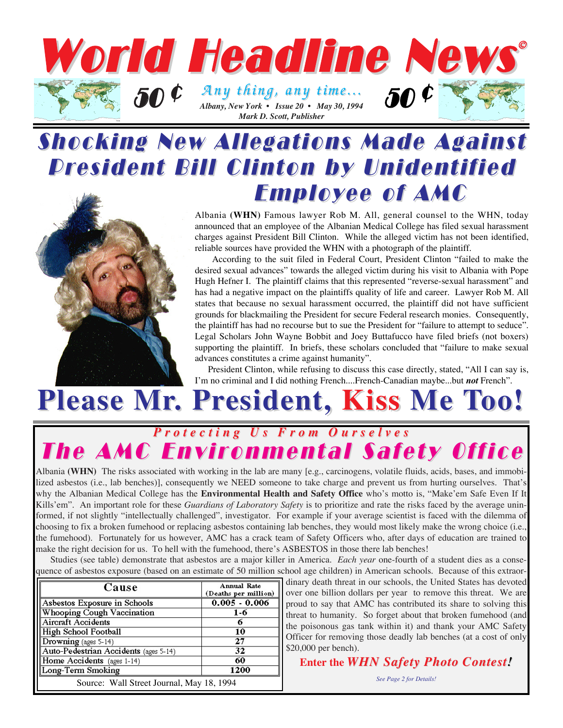

## Shocking New Allegations Made Against **President Bill Clinton by Unidentified Employee of AMC**



Albania **(WHN)** Famous lawyer Rob M. All, general counsel to the WHN, today announced that an employee of the Albanian Medical College has filed sexual harassment charges against President Bill Clinton. While the alleged victim has not been identified, reliable sources have provided the WHN with a photograph of the plaintiff.

According to the suit filed in Federal Court, President Clinton "failed to make the desired sexual advances" towards the alleged victim during his visit to Albania with Pope Hugh Hefner I. The plaintiff claims that this represented "reverse-sexual harassment" and has had a negative impact on the plaintiffs quality of life and career. Lawyer Rob M. All states that because no sexual harassment occurred, the plaintiff did not have sufficient grounds for blackmailing the President for secure Federal research monies. Consequently, the plaintiff has had no recourse but to sue the President for "failure to attempt to seduce". Legal Scholars John Wayne Bobbit and Joey Buttafucco have filed briefs (not boxers) supporting the plaintiff. In briefs, these scholars concluded that "failure to make sexual advances constitutes a crime against humanity".

President Clinton, while refusing to discuss this case directly, stated, "All I can say is, I'm no criminal and I did nothing French....French-Canadian maybe...but *not* French".

# **Please Mr. President, Kiss Me Too!**

### *Protecting Us From Ourselves Protecting Us From Ourselves* The AMC Environmental Safety Office

Albania **(WHN)** The risks associated with working in the lab are many [e.g., carcinogens, volatile fluids, acids, bases, and immobilized asbestos (i.e., lab benches)], consequently we NEED someone to take charge and prevent us from hurting ourselves. That's why the Albanian Medical College has the **Environmental Health and Safety Office** who's motto is, "Make'em Safe Even If It Kills'em". An important role for these *Guardians of Laboratory Safety* is to prioritize and rate the risks faced by the average uninformed, if not slightly "intellectually challenged", investigator. For example if your average scientist is faced with the dilemma of choosing to fix a broken fumehood or replacing asbestos containing lab benches, they would most likely make the wrong choice (i.e., the fumehood). Fortunately for us however, AMC has a crack team of Safety Officers who, after days of education are trained to make the right decision for us. To hell with the fumehood, there's ASBESTOS in those there lab benches!

Studies (see table) demonstrate that asbestos are a major killer in America. *Each year* one-fourth of a student dies as a consequence of asbestos exposure (based on an estimate of 50 million school age children) in American schools. Because of this extraor-

| Cause                                     | <b>Annual Rate</b><br>(Deaths per million) |
|-------------------------------------------|--------------------------------------------|
| Asbestos Exposure in Schools              | $0.005 - 0.006$                            |
| <b>Whooping Cough Vaccination</b>         | 1-6                                        |
| Aircraft Accidents                        | n                                          |
| High School Football                      | 10                                         |
| Drowning (ages 5-14)                      | 27                                         |
| Auto-Pedestrian Accidents (ages 5-14)     | 32                                         |
| Home Accidents (ages 1-14)                | 60                                         |
| Long-Term Smoking                         | 1200                                       |
| Source: Wall Street Journal, May 18, 1994 |                                            |

dinary death threat in our schools, the United States has devoted over one billion dollars per year to remove this threat. We are proud to say that AMC has contributed its share to solving this threat to humanity. So forget about that broken fumehood (and the poisonous gas tank within it) and thank your AMC Safety Officer for removing those deadly lab benches (at a cost of only \$20,000 per bench).

#### **Enter the WHN Safety Photo Contest!**

*See Page 2 for Details!*